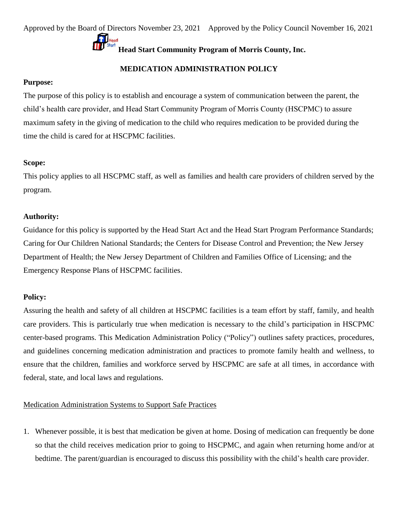# **MEDICATION ADMINISTRATION POLICY**

## **Purpose:**

The purpose of this policy is to establish and encourage a system of communication between the parent, the child's health care provider, and Head Start Community Program of Morris County (HSCPMC) to assure maximum safety in the giving of medication to the child who requires medication to be provided during the time the child is cared for at HSCPMC facilities.

# **Scope:**

This policy applies to all HSCPMC staff, as well as families and health care providers of children served by the program.

# **Authority:**

Guidance for this policy is supported by the Head Start Act and the Head Start Program Performance Standards; Caring for Our Children National Standards; the Centers for Disease Control and Prevention; the New Jersey Department of Health; the New Jersey Department of Children and Families Office of Licensing; and the Emergency Response Plans of HSCPMC facilities.

# **Policy:**

Assuring the health and safety of all children at HSCPMC facilities is a team effort by staff, family, and health care providers. This is particularly true when medication is necessary to the child's participation in HSCPMC center-based programs. This Medication Administration Policy ("Policy") outlines safety practices, procedures, and guidelines concerning medication administration and practices to promote family health and wellness, to ensure that the children, families and workforce served by HSCPMC are safe at all times, in accordance with federal, state, and local laws and regulations.

# Medication Administration Systems to Support Safe Practices

1. Whenever possible, it is best that medication be given at home. Dosing of medication can frequently be done so that the child receives medication prior to going to HSCPMC, and again when returning home and/or at bedtime. The parent/guardian is encouraged to discuss this possibility with the child's health care provider.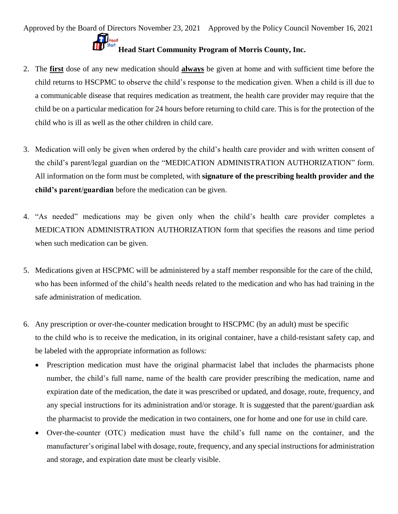- 2. The **first** dose of any new medication should **always** be given at home and with sufficient time before the child returns to HSCPMC to observe the child's response to the medication given. When a child is ill due to a communicable disease that requires medication as treatment, the health care provider may require that the child be on a particular medication for 24 hours before returning to child care. This is for the protection of the child who is ill as well as the other children in child care.
- 3. Medication will only be given when ordered by the child's health care provider and with written consent of the child's parent/legal guardian on the "MEDICATION ADMINISTRATION AUTHORIZATION" form. All information on the form must be completed, with **signature of the prescribing health provider and the child's parent/guardian** before the medication can be given.
- 4. "As needed" medications may be given only when the child's health care provider completes a MEDICATION ADMINISTRATION AUTHORIZATION form that specifies the reasons and time period when such medication can be given.
- 5. Medications given at HSCPMC will be administered by a staff member responsible for the care of the child, who has been informed of the child's health needs related to the medication and who has had training in the safe administration of medication.
- 6. Any prescription or over-the-counter medication brought to HSCPMC (by an adult) must be specific to the child who is to receive the medication, in its original container, have a child-resistant safety cap, and be labeled with the appropriate information as follows:
	- Prescription medication must have the original pharmacist label that includes the pharmacists phone number, the child's full name, name of the health care provider prescribing the medication, name and expiration date of the medication, the date it was prescribed or updated, and dosage, route, frequency, and any special instructions for its administration and/or storage. It is suggested that the parent/guardian ask the pharmacist to provide the medication in two containers, one for home and one for use in child care.
	- Over-the-counter (OTC) medication must have the child's full name on the container, and the manufacturer's original label with dosage, route, frequency, and any special instructions for administration and storage, and expiration date must be clearly visible.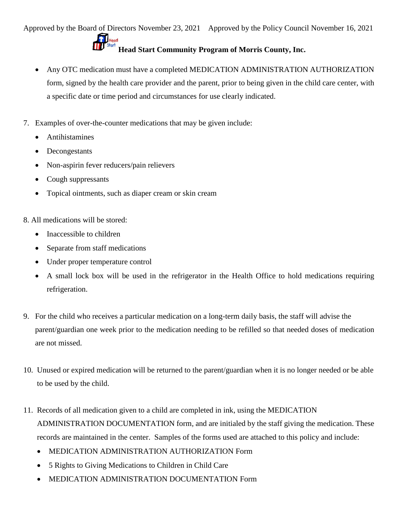Approved by the Board of Directors November 23, 2021 Approved by the Policy Council November 16, 2021 **Head Start Community Program of Morris County, Inc.** 

- Any OTC medication must have a completed MEDICATION ADMINISTRATION AUTHORIZATION form, signed by the health care provider and the parent, prior to being given in the child care center, with a specific date or time period and circumstances for use clearly indicated.
- 7. Examples of over-the-counter medications that may be given include:
	- Antihistamines
	- Decongestants
	- Non-aspirin fever reducers/pain relievers
	- Cough suppressants
	- Topical ointments, such as diaper cream or skin cream
- 8. All medications will be stored:
	- Inaccessible to children
	- Separate from staff medications
	- Under proper temperature control
	- A small lock box will be used in the refrigerator in the Health Office to hold medications requiring refrigeration.
- 9. For the child who receives a particular medication on a long-term daily basis, the staff will advise the parent/guardian one week prior to the medication needing to be refilled so that needed doses of medication are not missed.
- 10. Unused or expired medication will be returned to the parent/guardian when it is no longer needed or be able to be used by the child.
- 11. Records of all medication given to a child are completed in ink, using the MEDICATION ADMINISTRATION DOCUMENTATION form*,* and are initialed by the staff giving the medication. These records are maintained in the center. Samples of the forms used are attached to this policy and include:
	- MEDICATION ADMINISTRATION AUTHORIZATION Form
	- 5 Rights to Giving Medications to Children in Child Care
	- MEDICATION ADMINISTRATION DOCUMENTATION Form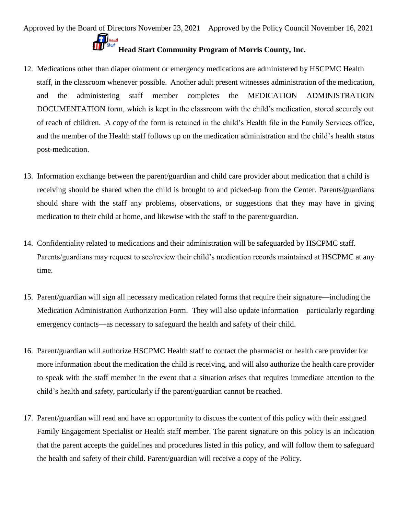- 12. Medications other than diaper ointment or emergency medications are administered by HSCPMC Health staff, in the classroom whenever possible. Another adult present witnesses administration of the medication, and the administering staff member completes the MEDICATION ADMINISTRATION DOCUMENTATION form, which is kept in the classroom with the child's medication, stored securely out of reach of children. A copy of the form is retained in the child's Health file in the Family Services office, and the member of the Health staff follows up on the medication administration and the child's health status post-medication.
- 13. Information exchange between the parent/guardian and child care provider about medication that a child is receiving should be shared when the child is brought to and picked-up from the Center. Parents/guardians should share with the staff any problems, observations, or suggestions that they may have in giving medication to their child at home, and likewise with the staff to the parent/guardian.
- 14. Confidentiality related to medications and their administration will be safeguarded by HSCPMC staff. Parents/guardians may request to see/review their child's medication records maintained at HSCPMC at any time.
- 15. Parent/guardian will sign all necessary medication related forms that require their signature—including the Medication Administration Authorization Form. They will also update information—particularly regarding emergency contacts—as necessary to safeguard the health and safety of their child.
- 16. Parent/guardian will authorize HSCPMC Health staff to contact the pharmacist or health care provider for more information about the medication the child is receiving, and will also authorize the health care provider to speak with the staff member in the event that a situation arises that requires immediate attention to the child's health and safety, particularly if the parent/guardian cannot be reached.
- 17. Parent/guardian will read and have an opportunity to discuss the content of this policy with their assigned Family Engagement Specialist or Health staff member. The parent signature on this policy is an indication that the parent accepts the guidelines and procedures listed in this policy, and will follow them to safeguard the health and safety of their child. Parent/guardian will receive a copy of the Policy.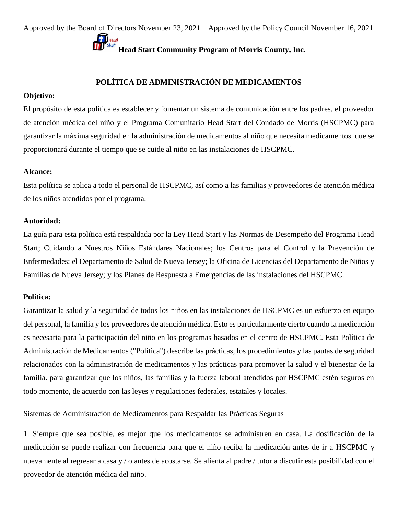# **POLÍTICA DE ADMINISTRACIÓN DE MEDICAMENTOS**

### **Objetivo:**

El propósito de esta política es establecer y fomentar un sistema de comunicación entre los padres, el proveedor de atención médica del niño y el Programa Comunitario Head Start del Condado de Morris (HSCPMC) para garantizar la máxima seguridad en la administración de medicamentos al niño que necesita medicamentos. que se proporcionará durante el tiempo que se cuide al niño en las instalaciones de HSCPMC.

### **Alcance:**

Esta política se aplica a todo el personal de HSCPMC, así como a las familias y proveedores de atención médica de los niños atendidos por el programa.

### **Autoridad:**

La guía para esta política está respaldada por la Ley Head Start y las Normas de Desempeño del Programa Head Start; Cuidando a Nuestros Niños Estándares Nacionales; los Centros para el Control y la Prevención de Enfermedades; el Departamento de Salud de Nueva Jersey; la Oficina de Licencias del Departamento de Niños y Familias de Nueva Jersey; y los Planes de Respuesta a Emergencias de las instalaciones del HSCPMC.

## **Política:**

Garantizar la salud y la seguridad de todos los niños en las instalaciones de HSCPMC es un esfuerzo en equipo del personal, la familia y los proveedores de atención médica. Esto es particularmente cierto cuando la medicación es necesaria para la participación del niño en los programas basados en el centro de HSCPMC. Esta Política de Administración de Medicamentos ("Política") describe las prácticas, los procedimientos y las pautas de seguridad relacionados con la administración de medicamentos y las prácticas para promover la salud y el bienestar de la familia. para garantizar que los niños, las familias y la fuerza laboral atendidos por HSCPMC estén seguros en todo momento, de acuerdo con las leyes y regulaciones federales, estatales y locales.

### Sistemas de Administración de Medicamentos para Respaldar las Prácticas Seguras

1. Siempre que sea posible, es mejor que los medicamentos se administren en casa. La dosificación de la medicación se puede realizar con frecuencia para que el niño reciba la medicación antes de ir a HSCPMC y nuevamente al regresar a casa y / o antes de acostarse. Se alienta al padre / tutor a discutir esta posibilidad con el proveedor de atención médica del niño.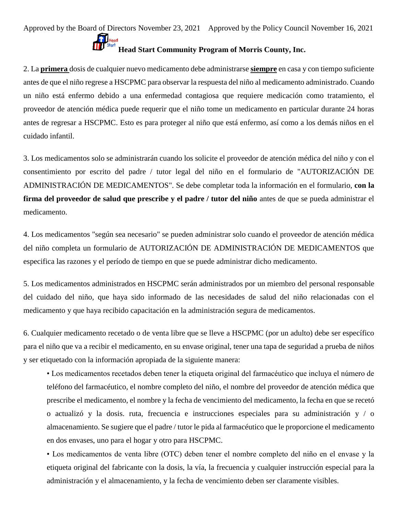2. La **primera** dosis de cualquier nuevo medicamento debe administrarse **siempre** en casa y con tiempo suficiente antes de que el niño regrese a HSCPMC para observar la respuesta del niño al medicamento administrado. Cuando un niño está enfermo debido a una enfermedad contagiosa que requiere medicación como tratamiento, el proveedor de atención médica puede requerir que el niño tome un medicamento en particular durante 24 horas antes de regresar a HSCPMC. Esto es para proteger al niño que está enfermo, así como a los demás niños en el cuidado infantil.

3. Los medicamentos solo se administrarán cuando los solicite el proveedor de atención médica del niño y con el consentimiento por escrito del padre / tutor legal del niño en el formulario de "AUTORIZACIÓN DE ADMINISTRACIÓN DE MEDICAMENTOS". Se debe completar toda la información en el formulario, **con la firma del proveedor de salud que prescribe y el padre / tutor del niño** antes de que se pueda administrar el medicamento.

4. Los medicamentos "según sea necesario" se pueden administrar solo cuando el proveedor de atención médica del niño completa un formulario de AUTORIZACIÓN DE ADMINISTRACIÓN DE MEDICAMENTOS que especifica las razones y el período de tiempo en que se puede administrar dicho medicamento.

5. Los medicamentos administrados en HSCPMC serán administrados por un miembro del personal responsable del cuidado del niño, que haya sido informado de las necesidades de salud del niño relacionadas con el medicamento y que haya recibido capacitación en la administración segura de medicamentos.

6. Cualquier medicamento recetado o de venta libre que se lleve a HSCPMC (por un adulto) debe ser específico para el niño que va a recibir el medicamento, en su envase original, tener una tapa de seguridad a prueba de niños y ser etiquetado con la información apropiada de la siguiente manera:

• Los medicamentos recetados deben tener la etiqueta original del farmacéutico que incluya el número de teléfono del farmacéutico, el nombre completo del niño, el nombre del proveedor de atención médica que prescribe el medicamento, el nombre y la fecha de vencimiento del medicamento, la fecha en que se recetó o actualizó y la dosis. ruta, frecuencia e instrucciones especiales para su administración y / o almacenamiento. Se sugiere que el padre / tutor le pida al farmacéutico que le proporcione el medicamento en dos envases, uno para el hogar y otro para HSCPMC.

• Los medicamentos de venta libre (OTC) deben tener el nombre completo del niño en el envase y la etiqueta original del fabricante con la dosis, la vía, la frecuencia y cualquier instrucción especial para la administración y el almacenamiento, y la fecha de vencimiento deben ser claramente visibles.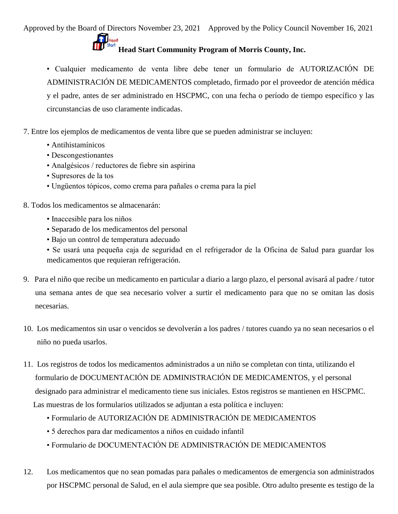• Cualquier medicamento de venta libre debe tener un formulario de AUTORIZACIÓN DE ADMINISTRACIÓN DE MEDICAMENTOS completado, firmado por el proveedor de atención médica y el padre, antes de ser administrado en HSCPMC, con una fecha o período de tiempo específico y las circunstancias de uso claramente indicadas.

7. Entre los ejemplos de medicamentos de venta libre que se pueden administrar se incluyen:

- Antihistamínicos
- Descongestionantes
- Analgésicos / reductores de fiebre sin aspirina
- Supresores de la tos
- Ungüentos tópicos, como crema para pañales o crema para la piel

8. Todos los medicamentos se almacenarán:

- Inaccesible para los niños
- Separado de los medicamentos del personal
- Bajo un control de temperatura adecuado
- Se usará una pequeña caja de seguridad en el refrigerador de la Oficina de Salud para guardar los medicamentos que requieran refrigeración.
- 9. Para el niño que recibe un medicamento en particular a diario a largo plazo, el personal avisará al padre / tutor una semana antes de que sea necesario volver a surtir el medicamento para que no se omitan las dosis necesarias.
- 10. Los medicamentos sin usar o vencidos se devolverán a los padres / tutores cuando ya no sean necesarios o el niño no pueda usarlos.
- 11. Los registros de todos los medicamentos administrados a un niño se completan con tinta, utilizando el formulario de DOCUMENTACIÓN DE ADMINISTRACIÓN DE MEDICAMENTOS, y el personal designado para administrar el medicamento tiene sus iniciales. Estos registros se mantienen en HSCPMC. Las muestras de los formularios utilizados se adjuntan a esta política e incluyen:
	- Formulario de AUTORIZACIÓN DE ADMINISTRACIÓN DE MEDICAMENTOS
	- 5 derechos para dar medicamentos a niños en cuidado infantil
	- Formulario de DOCUMENTACIÓN DE ADMINISTRACIÓN DE MEDICAMENTOS
- 12. Los medicamentos que no sean pomadas para pañales o medicamentos de emergencia son administrados por HSCPMC personal de Salud, en el aula siempre que sea posible. Otro adulto presente es testigo de la